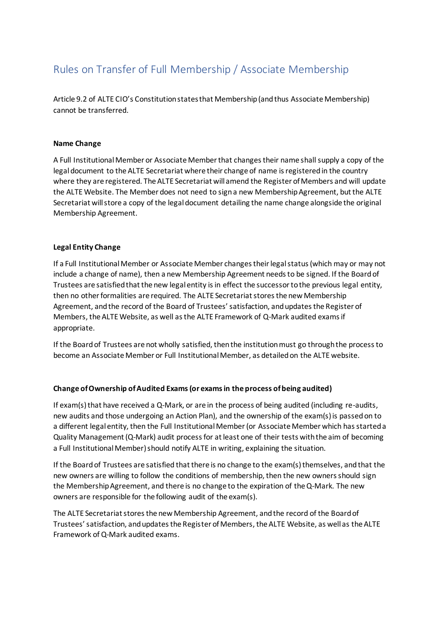## Rules on Transfer of Full Membership / Associate Membership

Article 9.2 of ALTE CIO's Constitution states that Membership (and thus Associate Membership) cannot be transferred.

## **Name Change**

A Full Institutional Member or Associate Member that changes their name shall supply a copy of the legal document to the ALTE Secretariat where their change of name is registered in the country where they are registered. The ALTE Secretariat will amend the Register of Members and will update the ALTE Website. The Member does not need to sign a new Membership Agreement, but the ALTE Secretariat will store a copy of the legal document detailing the name change alongside the original Membership Agreement.

## **Legal Entity Change**

If a Full Institutional Member or Associate Member changes their legal status (which may or may not include a change of name), then a new Membership Agreement needs to be signed. If the Board of Trustees are satisfied that the new legal entity is in effect the successor to the previous legal entity, then no other formalities are required. The ALTE Secretariat stores the new Membership Agreement, and the record of the Board of Trustees' satisfaction, and updates the Register of Members, the ALTE Website, as well as the ALTE Framework of Q-Mark audited exams if appropriate.

If the Board of Trustees are not wholly satisfied, then the institution must go through the process to become an Associate Member or Full Institutional Member, as detailed on the ALTE website.

## **Change of Ownership of Audited Exams (or exams in the process of being audited)**

If exam(s) that have received a Q-Mark, or are in the process of being audited (including re-audits, new audits and those undergoing an Action Plan), and the ownership of the exam(s) is passed on to a different legal entity, then the Full Institutional Member (or Associate Member which has started a Quality Management (Q-Mark) audit process for at least one of their tests with the aim of becoming a Full Institutional Member) should notify ALTE in writing, explaining the situation.

If the Board of Trustees are satisfied that there is no change to the exam(s) themselves, and that the new owners are willing to follow the conditions of membership, then the new owners should sign the Membership Agreement, and there is no change to the expiration of the Q-Mark. The new owners are responsible for the following audit of the exam(s).

The ALTE Secretariat stores the new Membership Agreement, and the record of the Board of Trustees' satisfaction, and updates the Register of Members, the ALTE Website, as well as the ALTE Framework of Q-Mark audited exams.